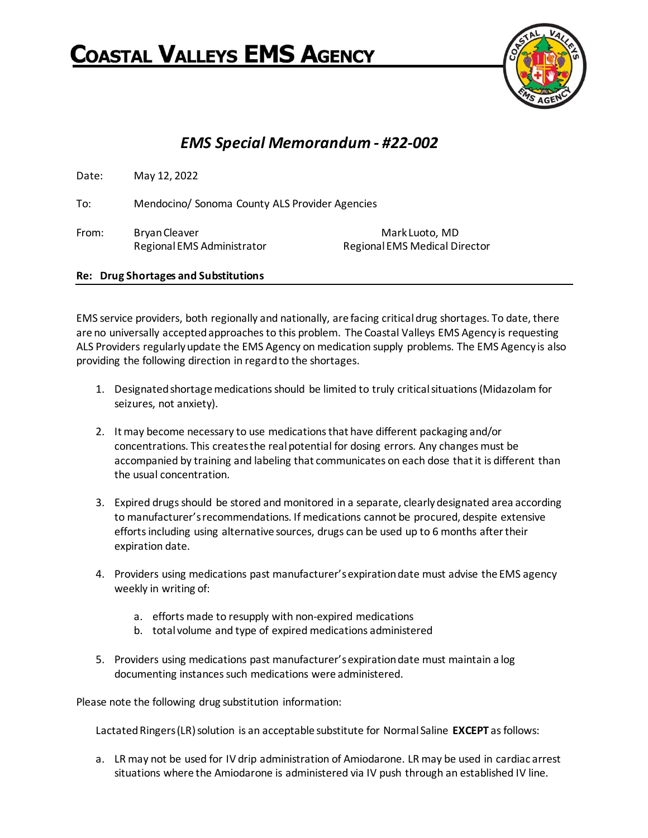## Coastal Valleys EMS Agency



## *EMS Special Memorandum - #22-002*

Date: May 12, 2022 To: Mendocino/ Sonoma County ALS Provider Agencies From: Bryan Cleaver Mark Luoto, MD Regional EMS Administrator Regional EMS Medical Director

**Re: Drug Shortages and Substitutions**

EMS service providers, both regionally and nationally, are facing critical drug shortages. To date, there are no universally accepted approaches to this problem. The Coastal Valleys EMS Agency is requesting ALS Providers regularly update the EMS Agency on medication supply problems. The EMS Agency is also providing the following direction in regard to the shortages.

- 1. Designated shortage medications should be limited to truly critical situations (Midazolam for seizures, not anxiety).
- 2. It may become necessary to use medications that have different packaging and/or concentrations. This creates the real potential for dosing errors. Any changes must be accompanied by training and labeling that communicates on each dose that it is different than the usual concentration.
- 3. Expired drugs should be stored and monitored in a separate, clearly designated area according to manufacturer's recommendations. If medications cannot be procured, despite extensive efforts including using alternative sources, drugs can be used up to 6 months after their expiration date.
- 4. Providers using medications past manufacturer's expiration date must advise the EMS agency weekly in writing of:
	- a. efforts made to resupply with non-expired medications
	- b. total volume and type of expired medications administered
- 5. Providers using medications past manufacturer's expiration date must maintain a log documenting instances such medications were administered.

Please note the following drug substitution information:

Lactated Ringers (LR) solution is an acceptable substitute for Normal Saline **EXCEPT** as follows:

a. LR may not be used for IV drip administration of Amiodarone. LR may be used in cardiac arrest situations where the Amiodarone is administered via IV push through an established IV line.